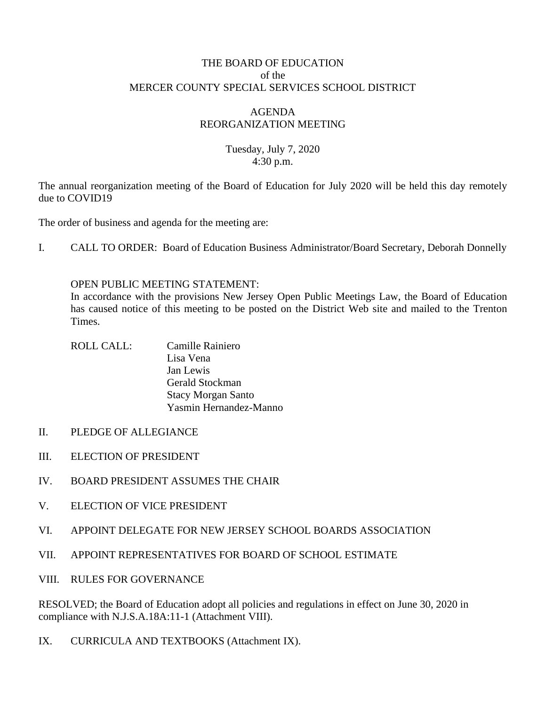### THE BOARD OF EDUCATION of the MERCER COUNTY SPECIAL SERVICES SCHOOL DISTRICT

### AGENDA REORGANIZATION MEETING

### Tuesday, July 7, 2020 4:30 p.m.

The annual reorganization meeting of the Board of Education for July 2020 will be held this day remotely due to COVID19

The order of business and agenda for the meeting are:

I. CALL TO ORDER: Board of Education Business Administrator/Board Secretary, Deborah Donnelly

#### OPEN PUBLIC MEETING STATEMENT:

In accordance with the provisions New Jersey Open Public Meetings Law, the Board of Education has caused notice of this meeting to be posted on the District Web site and mailed to the Trenton Times.

- ROLL CALL: Camille Rainiero Lisa Vena Jan Lewis Gerald Stockman Stacy Morgan Santo Yasmin Hernandez-Manno
- II. PLEDGE OF ALLEGIANCE
- III. ELECTION OF PRESIDENT
- IV. BOARD PRESIDENT ASSUMES THE CHAIR
- V. ELECTION OF VICE PRESIDENT
- VI. APPOINT DELEGATE FOR NEW JERSEY SCHOOL BOARDS ASSOCIATION
- VII. APPOINT REPRESENTATIVES FOR BOARD OF SCHOOL ESTIMATE
- VIII. RULES FOR GOVERNANCE

RESOLVED; the Board of Education adopt all policies and regulations in effect on June 30, 2020 in compliance with N.J.S.A.18A:11-1 (Attachment VIII).

IX. CURRICULA AND TEXTBOOKS (Attachment IX).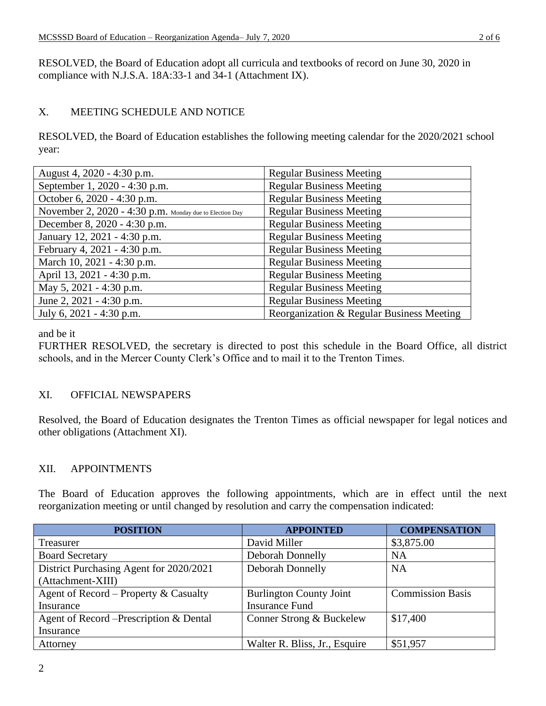RESOLVED, the Board of Education adopt all curricula and textbooks of record on June 30, 2020 in compliance with N.J.S.A. 18A:33-1 and 34-1 (Attachment IX).

## X. MEETING SCHEDULE AND NOTICE

RESOLVED, the Board of Education establishes the following meeting calendar for the 2020/2021 school year:

| August 4, 2020 - 4:30 p.m.                              | <b>Regular Business Meeting</b>           |
|---------------------------------------------------------|-------------------------------------------|
| September 1, 2020 - 4:30 p.m.                           | <b>Regular Business Meeting</b>           |
| October 6, 2020 - 4:30 p.m.                             | <b>Regular Business Meeting</b>           |
| November 2, 2020 - 4:30 p.m. Monday due to Election Day | <b>Regular Business Meeting</b>           |
| December 8, 2020 - 4:30 p.m.                            | <b>Regular Business Meeting</b>           |
| January 12, 2021 - 4:30 p.m.                            | <b>Regular Business Meeting</b>           |
| February 4, 2021 - 4:30 p.m.                            | <b>Regular Business Meeting</b>           |
| March 10, 2021 - 4:30 p.m.                              | <b>Regular Business Meeting</b>           |
| April 13, 2021 - 4:30 p.m.                              | <b>Regular Business Meeting</b>           |
| May 5, 2021 - 4:30 p.m.                                 | <b>Regular Business Meeting</b>           |
| June 2, $2021 - 4:30$ p.m.                              | <b>Regular Business Meeting</b>           |
| July 6, 2021 - 4:30 p.m.                                | Reorganization & Regular Business Meeting |

and be it

FURTHER RESOLVED, the secretary is directed to post this schedule in the Board Office, all district schools, and in the Mercer County Clerk's Office and to mail it to the Trenton Times.

# XI. OFFICIAL NEWSPAPERS

Resolved, the Board of Education designates the Trenton Times as official newspaper for legal notices and other obligations (Attachment XI).

## XII. APPOINTMENTS

The Board of Education approves the following appointments, which are in effect until the next reorganization meeting or until changed by resolution and carry the compensation indicated:

| <b>POSITION</b>                         | <b>APPOINTED</b>               | <b>COMPENSATION</b>     |
|-----------------------------------------|--------------------------------|-------------------------|
| Treasurer                               | David Miller                   | \$3,875.00              |
| <b>Board Secretary</b>                  | Deborah Donnelly               | <b>NA</b>               |
| District Purchasing Agent for 2020/2021 | Deborah Donnelly               | <b>NA</b>               |
| (Attachment-XIII)                       |                                |                         |
| Agent of Record – Property & Casualty   | <b>Burlington County Joint</b> | <b>Commission Basis</b> |
| Insurance                               | <b>Insurance Fund</b>          |                         |
| Agent of Record – Prescription & Dental | Conner Strong & Buckelew       | \$17,400                |
| Insurance                               |                                |                         |
| Attorney                                | Walter R. Bliss, Jr., Esquire  | \$51,957                |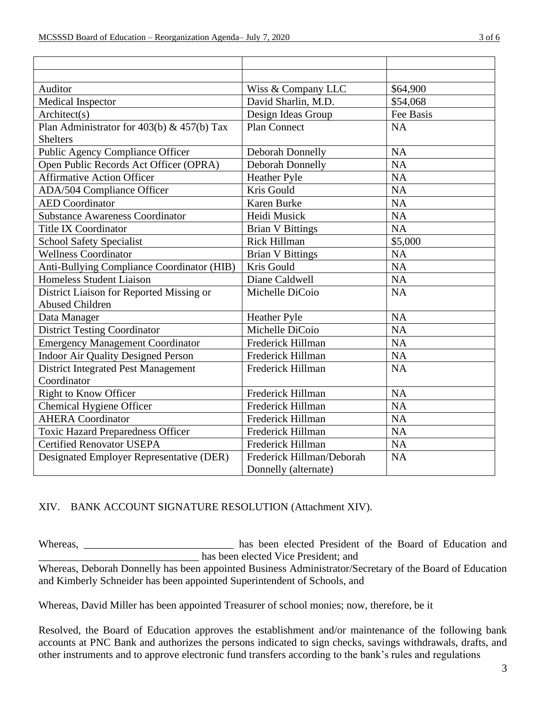| Auditor                                    | Wiss & Company LLC        | \$64,900  |
|--------------------------------------------|---------------------------|-----------|
| Medical Inspector                          | David Sharlin, M.D.       | \$54,068  |
| Architect(s)                               | Design Ideas Group        | Fee Basis |
| Plan Administrator for 403(b) & 457(b) Tax | <b>Plan Connect</b>       | <b>NA</b> |
| <b>Shelters</b>                            |                           |           |
| Public Agency Compliance Officer           | Deborah Donnelly          | <b>NA</b> |
| Open Public Records Act Officer (OPRA)     | <b>Deborah Donnelly</b>   | NA        |
| <b>Affirmative Action Officer</b>          | <b>Heather Pyle</b>       | <b>NA</b> |
| ADA/504 Compliance Officer                 | Kris Gould                | NA        |
| <b>AED</b> Coordinator                     | <b>Karen Burke</b>        | <b>NA</b> |
| <b>Substance Awareness Coordinator</b>     | Heidi Musick              | NA        |
| <b>Title IX Coordinator</b>                | <b>Brian V Bittings</b>   | <b>NA</b> |
| <b>School Safety Specialist</b>            | Rick Hillman              | \$5,000   |
| <b>Wellness Coordinator</b>                | <b>Brian V Bittings</b>   | <b>NA</b> |
| Anti-Bullying Compliance Coordinator (HIB) | Kris Gould                | <b>NA</b> |
| <b>Homeless Student Liaison</b>            | Diane Caldwell            | <b>NA</b> |
| District Liaison for Reported Missing or   | Michelle DiCoio           | <b>NA</b> |
| <b>Abused Children</b>                     |                           |           |
| Data Manager                               | <b>Heather Pyle</b>       | <b>NA</b> |
| <b>District Testing Coordinator</b>        | Michelle DiCoio           | <b>NA</b> |
| <b>Emergency Management Coordinator</b>    | Frederick Hillman         | <b>NA</b> |
| <b>Indoor Air Quality Designed Person</b>  | Frederick Hillman         | <b>NA</b> |
| <b>District Integrated Pest Management</b> | Frederick Hillman         | <b>NA</b> |
| Coordinator                                |                           |           |
| <b>Right to Know Officer</b>               | Frederick Hillman         | <b>NA</b> |
| Chemical Hygiene Officer                   | Frederick Hillman         | <b>NA</b> |
| <b>AHERA</b> Coordinator                   | Frederick Hillman         | <b>NA</b> |
| <b>Toxic Hazard Preparedness Officer</b>   | Frederick Hillman         | <b>NA</b> |
| <b>Certified Renovator USEPA</b>           | Frederick Hillman         | <b>NA</b> |
| Designated Employer Representative (DER)   | Frederick Hillman/Deborah | <b>NA</b> |
|                                            | Donnelly (alternate)      |           |

## XIV. BANK ACCOUNT SIGNATURE RESOLUTION (Attachment XIV).

Whereas, \_\_\_\_\_\_\_\_\_\_\_\_\_\_\_\_\_\_\_\_\_\_\_\_\_\_ has been elected President of the Board of Education and \_\_\_\_\_\_\_\_\_\_\_\_\_\_\_\_\_\_\_\_\_\_\_\_\_\_\_\_\_\_ has been elected Vice President; and

Whereas, Deborah Donnelly has been appointed Business Administrator/Secretary of the Board of Education and Kimberly Schneider has been appointed Superintendent of Schools, and

Whereas, David Miller has been appointed Treasurer of school monies; now, therefore, be it

Resolved, the Board of Education approves the establishment and/or maintenance of the following bank accounts at PNC Bank and authorizes the persons indicated to sign checks, savings withdrawals, drafts, and other instruments and to approve electronic fund transfers according to the bank's rules and regulations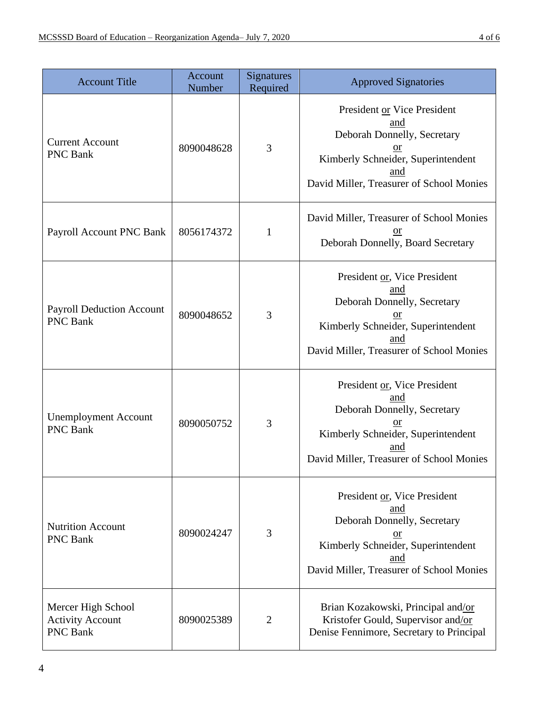| <b>Account Title</b>                                             | Account<br>Number | <b>Signatures</b><br>Required | <b>Approved Signatories</b>                                                                                                                                                  |
|------------------------------------------------------------------|-------------------|-------------------------------|------------------------------------------------------------------------------------------------------------------------------------------------------------------------------|
| <b>Current Account</b><br><b>PNC Bank</b>                        | 8090048628        | 3                             | President or Vice President<br>and<br>Deborah Donnelly, Secretary<br>$or$<br>Kimberly Schneider, Superintendent<br>and<br>David Miller, Treasurer of School Monies           |
| Payroll Account PNC Bank                                         | 8056174372        | $\mathbf{1}$                  | David Miller, Treasurer of School Monies<br>or<br>Deborah Donnelly, Board Secretary                                                                                          |
| <b>Payroll Deduction Account</b><br><b>PNC Bank</b>              | 8090048652        | 3                             | President or, Vice President<br>and<br>Deborah Donnelly, Secretary<br><sub>or</sub><br>Kimberly Schneider, Superintendent<br>and<br>David Miller, Treasurer of School Monies |
| <b>Unemployment Account</b><br><b>PNC Bank</b>                   | 8090050752        | 3                             | President or, Vice President<br>and<br>Deborah Donnelly, Secretary<br>$or$<br>Kimberly Schneider, Superintendent<br>and<br>David Miller, Treasurer of School Monies          |
| <b>Nutrition Account</b><br><b>PNC Bank</b>                      | 8090024247        | 3                             | President or, Vice President<br>and<br>Deborah Donnelly, Secretary<br>$or$<br>Kimberly Schneider, Superintendent<br>and<br>David Miller, Treasurer of School Monies          |
| Mercer High School<br><b>Activity Account</b><br><b>PNC Bank</b> | 8090025389        | $\overline{2}$                | Brian Kozakowski, Principal and/or<br>Kristofer Gould, Supervisor and/or<br>Denise Fennimore, Secretary to Principal                                                         |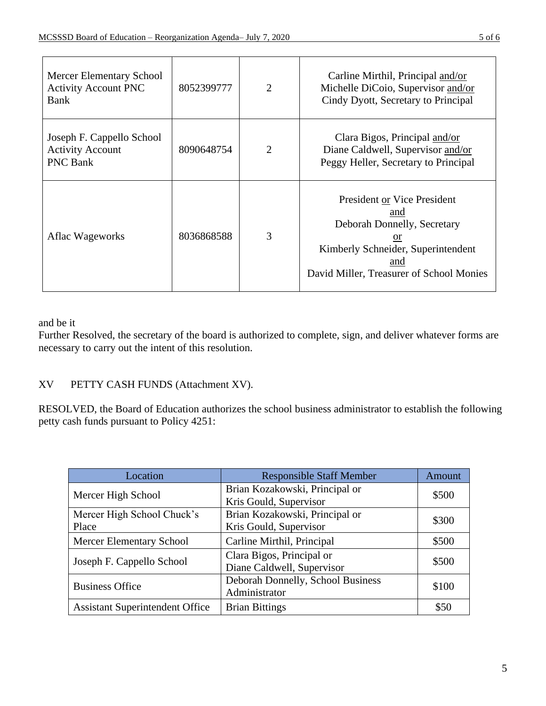| Mercer Elementary School<br><b>Activity Account PNC</b><br>Bank         | 8052399777 | $\overline{2}$ | Carline Mirthil, Principal and/or<br>Michelle DiCoio, Supervisor and/or<br>Cindy Dyott, Secretary to Principal                                                   |
|-------------------------------------------------------------------------|------------|----------------|------------------------------------------------------------------------------------------------------------------------------------------------------------------|
| Joseph F. Cappello School<br><b>Activity Account</b><br><b>PNC Bank</b> | 8090648754 | 2              | Clara Bigos, Principal and/or<br>Diane Caldwell, Supervisor and/or<br>Peggy Heller, Secretary to Principal                                                       |
| Aflac Wageworks                                                         | 8036868588 | 3              | President or Vice President<br>and<br>Deborah Donnelly, Secretary<br>or<br>Kimberly Schneider, Superintendent<br>and<br>David Miller, Treasurer of School Monies |

and be it

Further Resolved, the secretary of the board is authorized to complete, sign, and deliver whatever forms are necessary to carry out the intent of this resolution.

# XV PETTY CASH FUNDS (Attachment XV).

RESOLVED, the Board of Education authorizes the school business administrator to establish the following petty cash funds pursuant to Policy 4251:

| Location                               | <b>Responsible Staff Member</b>   | Amount |  |
|----------------------------------------|-----------------------------------|--------|--|
| Mercer High School                     | Brian Kozakowski, Principal or    | \$500  |  |
|                                        | Kris Gould, Supervisor            |        |  |
| Mercer High School Chuck's             | Brian Kozakowski, Principal or    |        |  |
| Place                                  | Kris Gould, Supervisor            | \$300  |  |
| <b>Mercer Elementary School</b>        | Carline Mirthil, Principal        | \$500  |  |
|                                        | Clara Bigos, Principal or         |        |  |
| Joseph F. Cappello School              | Diane Caldwell, Supervisor        | \$500  |  |
| <b>Business Office</b>                 | Deborah Donnelly, School Business | \$100  |  |
|                                        | Administrator                     |        |  |
| <b>Assistant Superintendent Office</b> | <b>Brian Bittings</b>             | \$50   |  |